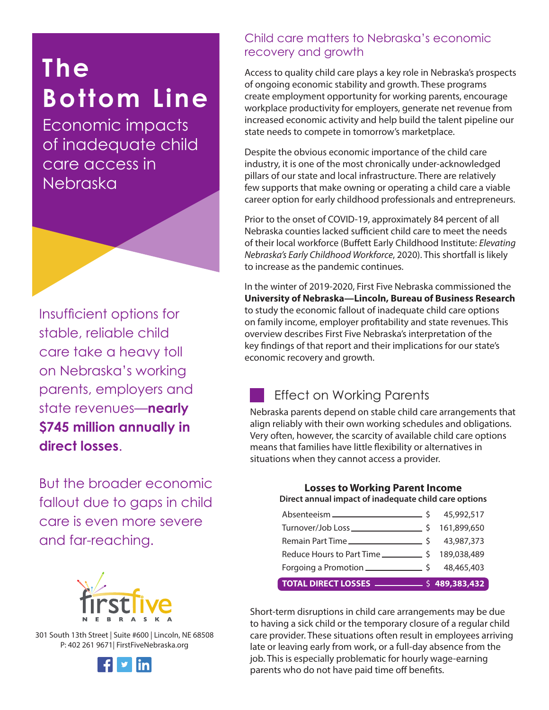# **The Bottom Line**

Economic impacts of inadequate child care access in Nebraska

Insufficient options for stable, reliable child care take a heavy toll on Nebraska's working parents, employers and state revenues—**nearly \$745 million annually in direct losses**.

But the broader economic fallout due to gaps in child care is even more severe and far-reaching.



301 South 13th Street | Suite #600 | Lincoln, NE 68508 P: 402 261 9671| FirstFiveNebraska.org



## Child care matters to Nebraska's economic recovery and growth

Access to quality child care plays a key role in Nebraska's prospects of ongoing economic stability and growth. These programs create employment opportunity for working parents, encourage workplace productivity for employers, generate net revenue from increased economic activity and help build the talent pipeline our state needs to compete in tomorrow's marketplace.

Despite the obvious economic importance of the child care industry, it is one of the most chronically under-acknowledged pillars of our state and local infrastructure. There are relatively few supports that make owning or operating a child care a viable career option for early childhood professionals and entrepreneurs.

Prior to the onset of COVID-19, approximately 84 percent of all Nebraska counties lacked sufficient child care to meet the needs of their local workforce (Buffett Early Childhood Institute: *Elevating Nebraska's Early Childhood Workforce*, 2020). This shortfall is likely to increase as the pandemic continues.

In the winter of 2019-2020, First Five Nebraska commissioned the **University of Nebraska—Lincoln, Bureau of Business Research**  to study the economic fallout of inadequate child care options on family income, employer profitability and state revenues. This overview describes First Five Nebraska's interpretation of the key findings of that report and their implications for our state's economic recovery and growth.

## Effect on Working Parents

Nebraska parents depend on stable child care arrangements that align reliably with their own working schedules and obligations. Very often, however, the scarcity of available child care options means that families have little flexibility or alternatives in situations when they cannot access a provider.

**Losses to Working Parent Income** 

#### **Direct annual impact of inadequate child care options**

| Forgoing a Promotion $\frac{1}{2}$ \$ 48,465,403         |  |
|----------------------------------------------------------|--|
| Reduce Hours to Part Time _______________ \$ 189,038,489 |  |
|                                                          |  |
|                                                          |  |
|                                                          |  |

Short-term disruptions in child care arrangements may be due to having a sick child or the temporary closure of a regular child care provider. These situations often result in employees arriving late or leaving early from work, or a full-day absence from the job. This is especially problematic for hourly wage-earning parents who do not have paid time off benefits.